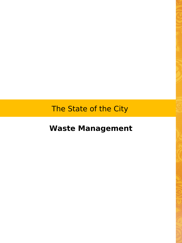The State of the City

**Waste Management**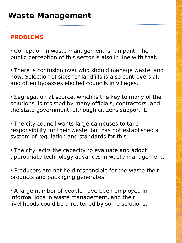## **PROBLEMS**

• Corruption in waste management is rampant. The public perception of this sector is also in line with that.

• There is confusion over who should manage waste, and how. Selection of sites for landfills is also controversial, and often bypasses elected councils in villages.

• Segregation at source, which is the key to many of the solutions, is resisted by many officials, contractors, and the state government, although citizens support it.

• The city council wants large campuses to take responsibility for their waste, but has not established a system of regulation and standards for this.

• The city lacks the capacity to evaluate and adopt appropriate technology advances in waste management.

• Producers are not held responsible for the waste their products and packaging generates.

• A large number of people have been employed in informal jobs in waste management, and their livelihoods could be threatened by some solutions.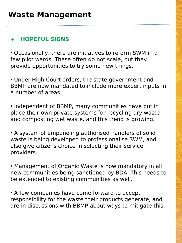## **+ HOPEFUL SIGNS**

• Occasionally, there are initiatives to reform SWM in a few pilot wards. These often do not scale, but they provide opportunities to try some new things.

• Under High Court orders, the state government and BBMP are now mandated to include more expert inputs in a number of areas.

• Independent of BBMP, many communities have put in place their own private systems for recycling dry waste and composting wet waste, and this trend is growing.

• A system of empaneling authorised handlers of solid waste is being developed to professionalise SWM, and also give citizens choice in selecting their service providers.

• Management of Organic Waste is now mandatory in all new communities being sanctioned by BDA. This needs to be extended to existing communities as well.

• A few companies have come forward to accept responsibility for the waste their products generate, and are in discussions with BBMP about ways to mitigate this.